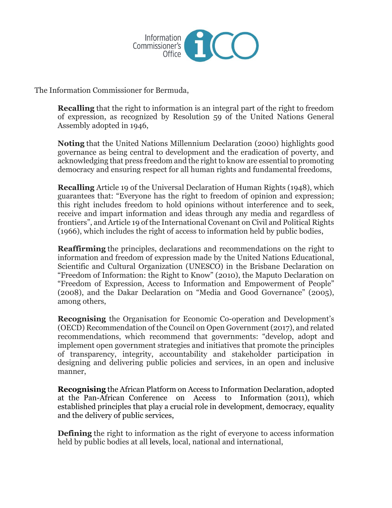

The Information Commissioner for Bermuda,

**Recalling** that the right to information is an integral part of the right to freedom of expression, as recognized by Resolution 59 of the United Nations General Assembly adopted in 1946,

**Noting** that the United Nations Millennium Declaration (2000) highlights good governance as being central to development and the eradication of poverty, and acknowledging that press freedom and the right to know are essential to promoting democracy and ensuring respect for all human rights and fundamental freedoms,

**Recalling** Article 19 of the Universal Declaration of Human Rights (1948), which guarantees that: "Everyone has the right to freedom of opinion and expression; this right includes freedom to hold opinions without interference and to seek, receive and impart information and ideas through any media and regardless of frontiers", and Article 19 of the International Covenant on Civil and Political Rights (1966), which includes the right of access to information held by public bodies,

**Reaffirming** the principles, declarations and recommendations on the right to information and freedom of expression made by the United Nations Educational, Scientific and Cultural Organization (UNESCO) in the Brisbane Declaration on "Freedom of Information: the Right to Know" (2010), the Maputo Declaration on "Freedom of Expression, Access to Information and Empowerment of People" (2008), and the Dakar Declaration on "Media and Good Governance" (2005), among others,

**Recognising** the Organisation for Economic Co-operation and Development's (OECD) Recommendation of the Council on Open Government (2017), and related recommendations, which recommend that governments: "develop, adopt and implement open government strategies and initiatives that promote the principles of transparency, integrity, accountability and stakeholder participation in designing and delivering public policies and services, in an open and inclusive manner,

**Recognising** the African Platform on Access to Information Declaration, adopted at the Pan-African Conference on Access to Information (2011), which established principles that play a crucial role in development, democracy, equality and the delivery of public services,

**Defining** the right to information as the right of everyone to access information held by public bodies at all levels, local, national and international,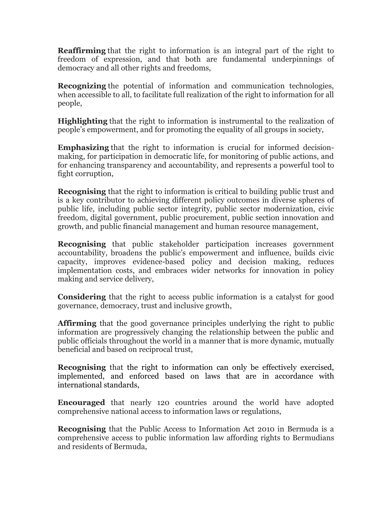**Reaffirming** that the right to information is an integral part of the right to freedom of expression, and that both are fundamental underpinnings of democracy and all other rights and freedoms,

**Recognizing** the potential of information and communication technologies, when accessible to all, to facilitate full realization of the right to information for all people,

**Highlighting** that the right to information is instrumental to the realization of people's empowerment, and for promoting the equality of all groups in society,

**Emphasizing** that the right to information is crucial for informed decisionmaking, for participation in democratic life, for monitoring of public actions, and for enhancing transparency and accountability, and represents a powerful tool to fight corruption,

**Recognising** that the right to information is critical to building public trust and is a key contributor to achieving different policy outcomes in diverse spheres of public life, including public sector integrity, public sector modernization, civic freedom, digital government, public procurement, public section innovation and growth, and public financial management and human resource management,

**Recognising** that public stakeholder participation increases government accountability, broadens the public's empowerment and influence, builds civic capacity, improves evidence-based policy and decision making, reduces implementation costs, and embraces wider networks for innovation in policy making and service delivery,

**Considering** that the right to access public information is a catalyst for good governance, democracy, trust and inclusive growth,

**Affirming** that the good governance principles underlying the right to public information are progressively changing the relationship between the public and public officials throughout the world in a manner that is more dynamic, mutually beneficial and based on reciprocal trust,

**Recognising** that the right to information can only be effectively exercised, implemented, and enforced based on laws that are in accordance with international standards,

**Encouraged** that nearly 120 countries around the world have adopted comprehensive national access to information laws or regulations,

**Recognising** that the Public Access to Information Act 2010 in Bermuda is a comprehensive access to public information law affording rights to Bermudians and residents of Bermuda,